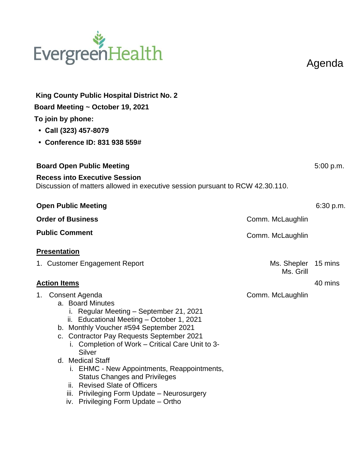

Agenda

| King County Public Hospital District No. 2<br>Board Meeting ~ October 19, 2021<br>To join by phone:<br>• Call (323) 457-8079<br>• Conference ID: 831 938 559#                                                                                                                                                                                                                                                                                                                                                           |                                  |           |  |  |
|-------------------------------------------------------------------------------------------------------------------------------------------------------------------------------------------------------------------------------------------------------------------------------------------------------------------------------------------------------------------------------------------------------------------------------------------------------------------------------------------------------------------------|----------------------------------|-----------|--|--|
| <b>Board Open Public Meeting</b>                                                                                                                                                                                                                                                                                                                                                                                                                                                                                        |                                  |           |  |  |
| <b>Recess into Executive Session</b><br>Discussion of matters allowed in executive session pursuant to RCW 42.30.110.                                                                                                                                                                                                                                                                                                                                                                                                   |                                  |           |  |  |
| <b>Open Public Meeting</b>                                                                                                                                                                                                                                                                                                                                                                                                                                                                                              |                                  | 6:30 p.m. |  |  |
| <b>Order of Business</b>                                                                                                                                                                                                                                                                                                                                                                                                                                                                                                | Comm. McLaughlin                 |           |  |  |
| <b>Public Comment</b>                                                                                                                                                                                                                                                                                                                                                                                                                                                                                                   | Comm. McLaughlin                 |           |  |  |
| <b>Presentation</b>                                                                                                                                                                                                                                                                                                                                                                                                                                                                                                     |                                  |           |  |  |
| 1. Customer Engagement Report                                                                                                                                                                                                                                                                                                                                                                                                                                                                                           | Ms. Shepler 15 mins<br>Ms. Grill |           |  |  |
| <b>Action Items</b>                                                                                                                                                                                                                                                                                                                                                                                                                                                                                                     |                                  | 40 mins   |  |  |
| Consent Agenda<br>1.<br>a. Board Minutes<br>i. Regular Meeting - September 21, 2021<br>ii. Educational Meeting - October 1, 2021<br>b. Monthly Voucher #594 September 2021<br>c. Contractor Pay Requests September 2021<br>i. Completion of Work - Critical Care Unit to 3-<br>Silver<br>d. Medical Staff<br>i. EHMC - New Appointments, Reappointments,<br><b>Status Changes and Privileges</b><br>ii. Revised Slate of Officers<br>iii. Privileging Form Update - Neurosurgery<br>iv. Privileging Form Update - Ortho | Comm. McLaughlin                 |           |  |  |